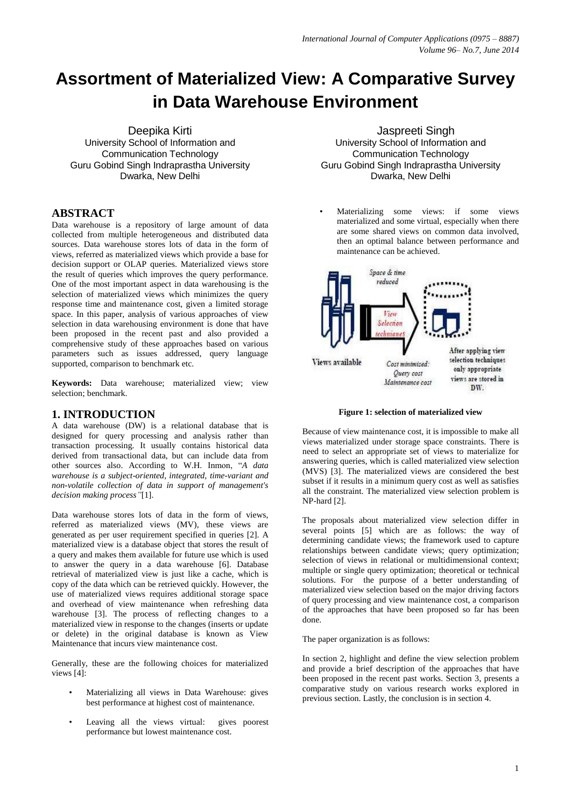# **Assortment of Materialized View: A Comparative Survey in Data Warehouse Environment**

Deepika Kirti University School of Information and Communication Technology Guru Gobind Singh Indraprastha University Dwarka, New Delhi

# **ABSTRACT**

Data warehouse is a repository of large amount of data collected from multiple heterogeneous and distributed data sources. Data warehouse stores lots of data in the form of views, referred as materialized views which provide a base for decision support or OLAP queries. Materialized views store the result of queries which improves the query performance. One of the most important aspect in data warehousing is the selection of materialized views which minimizes the query response time and maintenance cost, given a limited storage space. In this paper, analysis of various approaches of view selection in data warehousing environment is done that have been proposed in the recent past and also provided a comprehensive study of these approaches based on various parameters such as issues addressed, query language supported, comparison to benchmark etc.

**Keywords:** Data warehouse; materialized view; view selection; benchmark.

#### **1. INTRODUCTION**

A data warehouse (DW) is a relational database that is designed for query processing and analysis rather than transaction processing. It usually contains historical data derived from transactional data, but can include data from other sources also. According to W.H. Inmon, "*A data warehouse is a subject-oriented, integrated, time-variant and non-volatile collection of data in support of management's decision making process"*[1].

Data warehouse stores lots of data in the form of views. referred as materialized views (MV), these views are generated as per user requirement specified in queries [2]. A materialized view is a database object that stores the result of a query and makes them available for future use which is used to answer the query in a data warehouse [6]. Database retrieval of materialized view is just like a cache, which is copy of the data which can be retrieved quickly. However, the use of materialized views requires additional storage space and overhead of view maintenance when refreshing data warehouse [3]. The process of reflecting changes to a materialized view in response to the changes (inserts or update or delete) in the original database is known as View Maintenance that incurs view maintenance cost.

Generally, these are the following choices for materialized views [4]:

- Materializing all views in Data Warehouse: gives best performance at highest cost of maintenance.
- Leaving all the views virtual: gives poorest performance but lowest maintenance cost.

 Jaspreeti Singh University School of Information and Communication Technology Guru Gobind Singh Indraprastha University Dwarka, New Delhi

• Materializing some views: if some views materialized and some virtual, especially when there are some shared views on common data involved, then an optimal balance between performance and maintenance can be achieved.



**Figure 1: selection of materialized view**

Because of view maintenance cost, it is impossible to make all views materialized under storage space constraints. There is need to select an appropriate set of views to materialize for answering queries, which is called materialized view selection (MVS) [3]. The materialized views are considered the best subset if it results in a minimum query cost as well as satisfies all the constraint. The materialized view selection problem is NP-hard [2].

The proposals about materialized view selection differ in several points [5] which are as follows: the way of determining candidate views; the framework used to capture relationships between candidate views; query optimization; selection of views in relational or multidimensional context; multiple or single query optimization; theoretical or technical solutions. For the purpose of a better understanding of materialized view selection based on the major driving factors of query processing and view maintenance cost, a comparison of the approaches that have been proposed so far has been done.

The paper organization is as follows:

In section 2, highlight and define the view selection problem and provide a brief description of the approaches that have been proposed in the recent past works. Section 3, presents a comparative study on various research works explored in previous section. Lastly, the conclusion is in section 4.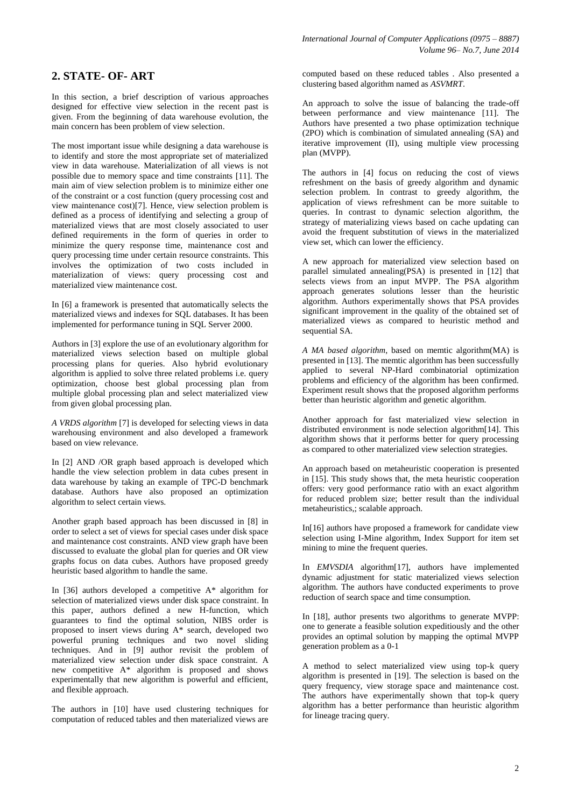# **2. STATE- OF- ART**

In this section, a brief description of various approaches designed for effective view selection in the recent past is given. From the beginning of data warehouse evolution, the main concern has been problem of view selection.

The most important issue while designing a data warehouse is to identify and store the most appropriate set of materialized view in data warehouse. Materialization of all views is not possible due to memory space and time constraints [11]. The main aim of view selection problem is to minimize either one of the constraint or a cost function (query processing cost and view maintenance cost)[7]. Hence, view selection problem is defined as a process of identifying and selecting a group of materialized views that are most closely associated to user defined requirements in the form of queries in order to minimize the query response time, maintenance cost and query processing time under certain resource constraints. This involves the optimization of two costs included in materialization of views: query processing cost and materialized view maintenance cost.

In [6] a framework is presented that automatically selects the materialized views and indexes for SQL databases. It has been implemented for performance tuning in SQL Server 2000.

Authors in [3] explore the use of an evolutionary algorithm for materialized views selection based on multiple global processing plans for queries. Also hybrid evolutionary algorithm is applied to solve three related problems i.e. query optimization, choose best global processing plan from multiple global processing plan and select materialized view from given global processing plan.

*A VRDS algorithm* [7] is developed for selecting views in data warehousing environment and also developed a framework based on view relevance.

In [2] AND /OR graph based approach is developed which handle the view selection problem in data cubes present in data warehouse by taking an example of TPC-D benchmark database. Authors have also proposed an optimization algorithm to select certain views.

Another graph based approach has been discussed in [8] in order to select a set of views for special cases under disk space and maintenance cost constraints. AND view graph have been discussed to evaluate the global plan for queries and OR view graphs focus on data cubes. Authors have proposed greedy heuristic based algorithm to handle the same.

In [36] authors developed a competitive A\* algorithm for selection of materialized views under disk space constraint. In this paper, authors defined a new H-function, which guarantees to find the optimal solution, NIBS order is proposed to insert views during A\* search, developed two powerful pruning techniques and two novel sliding techniques. And in [9] author revisit the problem of materialized view selection under disk space constraint. A new competitive A\* algorithm is proposed and shows experimentally that new algorithm is powerful and efficient, and flexible approach.

The authors in [10] have used clustering techniques for computation of reduced tables and then materialized views are computed based on these reduced tables . Also presented a clustering based algorithm named as *ASVMRT*.

An approach to solve the issue of balancing the trade-off between performance and view maintenance [11]. The Authors have presented a two phase optimization technique (2PO) which is combination of simulated annealing (SA) and iterative improvement (II), using multiple view processing plan (MVPP).

The authors in [4] focus on reducing the cost of views refreshment on the basis of greedy algorithm and dynamic selection problem. In contrast to greedy algorithm, the application of views refreshment can be more suitable to queries. In contrast to dynamic selection algorithm, the strategy of materializing views based on cache updating can avoid the frequent substitution of views in the materialized view set, which can lower the efficiency.

A new approach for materialized view selection based on parallel simulated annealing(PSA) is presented in [12] that selects views from an input MVPP. The PSA algorithm approach generates solutions lesser than the heuristic algorithm. Authors experimentally shows that PSA provides significant improvement in the quality of the obtained set of materialized views as compared to heuristic method and sequential SA.

*A MA based algorithm*, based on memtic algorithm(MA) is presented in [13]. The memtic algorithm has been successfully applied to several NP-Hard combinatorial optimization problems and efficiency of the algorithm has been confirmed. Experiment result shows that the proposed algorithm performs better than heuristic algorithm and genetic algorithm.

Another approach for fast materialized view selection in distributed environment is node selection algorithm[14]. This algorithm shows that it performs better for query processing as compared to other materialized view selection strategies.

An approach based on metaheuristic cooperation is presented in [15]. This study shows that, the meta heuristic cooperation offers: very good performance ratio with an exact algorithm for reduced problem size; better result than the individual metaheuristics,; scalable approach.

In[16] authors have proposed a framework for candidate view selection using I-Mine algorithm, Index Support for item set mining to mine the frequent queries.

In *EMVSDIA* algorithm[17], authors have implemented dynamic adjustment for static materialized views selection algorithm. The authors have conducted experiments to prove reduction of search space and time consumption.

In [18], author presents two algorithms to generate MVPP: one to generate a feasible solution expeditiously and the other provides an optimal solution by mapping the optimal MVPP generation problem as a 0-1

A method to select materialized view using top-k query algorithm is presented in [19]. The selection is based on the query frequency, view storage space and maintenance cost. The authors have experimentally shown that top-k query algorithm has a better performance than heuristic algorithm for lineage tracing query.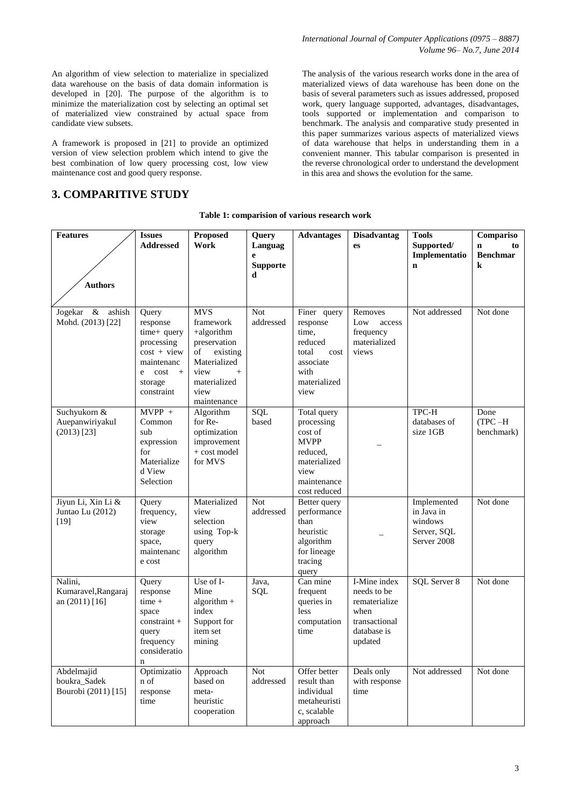An algorithm of view selection to materialize in specialized data warehouse on the basis of data domain information is developed in [20]. The purpose of the algorithm is to minimize the materialization cost by selecting an optimal set of materialized view constrained by actual space from candidate view subsets.

A framework is proposed in [21] to provide an optimized version of view selection problem which intend to give the best combination of low query processing cost, low view maintenance cost and good query response.

## **3. COMPARITIVE STUDY**

The analysis of the various research works done in the area of materialized views of data warehouse has been done on the basis of several parameters such as issues addressed, proposed work, query language supported, advantages, disadvantages, tools supported or implementation and comparison to benchmark. The analysis and comparative study presented in this paper summarizes various aspects of materialized views of data warehouse that helps in understanding them in a convenient manner. This tabular comparison is presented in the reverse chronological order to understand the development in this area and shows the evolution for the same.

| Table 1: comparision of various research work |  |  |  |  |
|-----------------------------------------------|--|--|--|--|
|-----------------------------------------------|--|--|--|--|

| <b>Features</b>                  | <b>Issues</b>             | <b>Proposed</b>      | Query           | <b>Advantages</b>      | <b>Disadvantag</b> | <b>Tools</b>               | Compariso         |
|----------------------------------|---------------------------|----------------------|-----------------|------------------------|--------------------|----------------------------|-------------------|
|                                  | <b>Addressed</b>          | Work                 | Languag         |                        | es                 | Supported/                 | $\mathbf n$<br>to |
|                                  |                           |                      | e               |                        |                    | Implementatio              | <b>Benchmar</b>   |
|                                  |                           |                      | <b>Supporte</b> |                        |                    | $\mathbf n$                | $\bf k$           |
|                                  |                           |                      | d               |                        |                    |                            |                   |
| <b>Authors</b>                   |                           |                      |                 |                        |                    |                            |                   |
|                                  |                           |                      |                 |                        |                    |                            |                   |
| Jogekar &<br>ashish              | Query                     | <b>MVS</b>           | Not             | Finer query            | Removes            | Not addressed              | Not done          |
| Mohd. (2013) [22]                | response                  | framework            | addressed       | response               | Low<br>access      |                            |                   |
|                                  | time+ query               | +algorithm           |                 | time.                  | frequency          |                            |                   |
|                                  | processing                | preservation         |                 | reduced                | materialized       |                            |                   |
|                                  | $cost + view$             | of<br>existing       |                 | total<br>cost          | views              |                            |                   |
|                                  | maintenanc                | Materialized         |                 | associate              |                    |                            |                   |
|                                  | $cost +$<br>e             | view<br>$^{+}$       |                 | with                   |                    |                            |                   |
|                                  | storage                   | materialized         |                 | materialized           |                    |                            |                   |
|                                  | constraint                | view                 |                 | view                   |                    |                            |                   |
|                                  |                           | maintenance          |                 |                        |                    |                            |                   |
| Suchyukorn &                     | $MVPP +$                  | Algorithm<br>for Re- | SQL<br>based    | Total query            |                    | TPC-H<br>databases of      | Done<br>$(TPC-H)$ |
| Auepanwiriyakul<br>$(2013)$ [23] | Common<br>sub             | optimization         |                 | processing<br>cost of  |                    | size 1GB                   | benchmark)        |
|                                  | expression                | improvement          |                 | <b>MVPP</b>            |                    |                            |                   |
|                                  | for                       | + cost model         |                 | reduced.               |                    |                            |                   |
|                                  | Materialize               | for MVS              |                 | materialized           |                    |                            |                   |
|                                  | d View                    |                      |                 | view                   |                    |                            |                   |
|                                  | Selection                 |                      |                 | maintenance            |                    |                            |                   |
|                                  |                           |                      |                 | cost reduced           |                    |                            |                   |
| Jiyun Li, Xin Li &               | Query                     | Materialized         | <b>Not</b>      | Better query           |                    | Implemented                | Not done          |
| Juntao Lu (2012)                 | frequency,                | view                 | addressed       | performance            |                    | in Java in                 |                   |
| [19]                             | view                      | selection            |                 | than                   |                    | windows                    |                   |
|                                  | storage<br>space,         | using Top-k<br>query |                 | heuristic<br>algorithm |                    | Server, SQL<br>Server 2008 |                   |
|                                  | maintenanc                | algorithm            |                 | for lineage            |                    |                            |                   |
|                                  | e cost                    |                      |                 | tracing                |                    |                            |                   |
|                                  |                           |                      |                 | query                  |                    |                            |                   |
| Nalini,                          | Query                     | Use of I-            | Java,           | Can mine               | I-Mine index       | SQL Server 8               | Not done          |
| Kumaravel, Rangaraj              | response                  | Mine                 | SQL             | frequent               | needs to be        |                            |                   |
| an (2011) [16]                   | $time +$                  | algorithm $+$        |                 | queries in             | rematerialize      |                            |                   |
|                                  | space                     | index                |                 | less                   | when               |                            |                   |
|                                  | $constant +$              | Support for          |                 | computation            | transactional      |                            |                   |
|                                  | query                     | item set             |                 | time                   | database is        |                            |                   |
|                                  | frequency<br>consideratio | mining               |                 |                        | updated            |                            |                   |
|                                  | n                         |                      |                 |                        |                    |                            |                   |
| Abdelmajid                       | Optimizatio               | Approach             | <b>Not</b>      | Offer better           | Deals only         | Not addressed              | Not done          |
| boukra_Sadek                     | n of                      | based on             | addressed       | result than            | with response      |                            |                   |
| Bourobi (2011) [15]              | response                  | meta-                |                 | individual             | time               |                            |                   |
|                                  | time                      | heuristic            |                 | metaheuristi           |                    |                            |                   |
|                                  |                           | cooperation          |                 | c, scalable            |                    |                            |                   |
|                                  |                           |                      |                 | approach               |                    |                            |                   |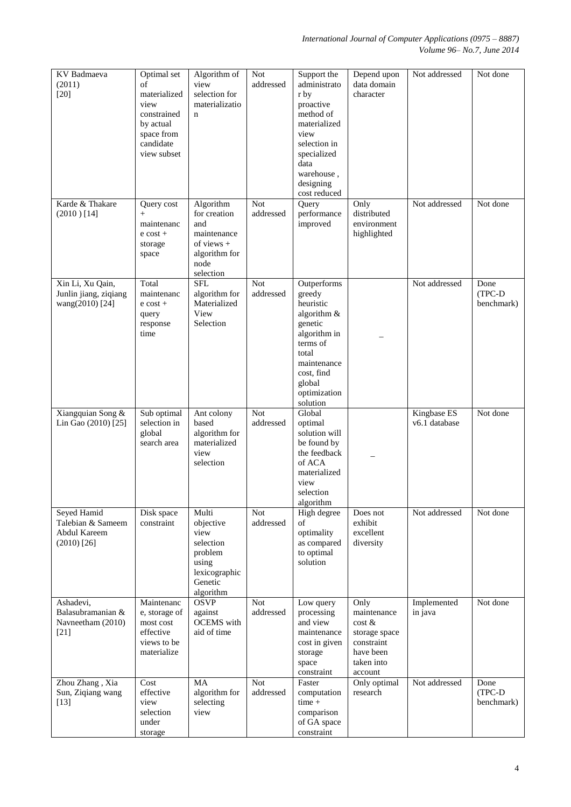| KV Badmaeva<br>(2011)<br>$[20]$                                          | Optimal set<br>of<br>materialized<br>view<br>constrained<br>by actual<br>space from<br>candidate<br>view subset | Algorithm of<br>view<br>selection for<br>materializatio<br>$\mathbf n$                                | <b>Not</b><br>addressed | Support the<br>administrato<br>r by<br>proactive<br>method of<br>materialized<br>view<br>selection in<br>specialized<br>data<br>warehouse,<br>designing<br>cost reduced | Depend upon<br>data domain<br>character                                                            | Not addressed                | Not done                     |
|--------------------------------------------------------------------------|-----------------------------------------------------------------------------------------------------------------|-------------------------------------------------------------------------------------------------------|-------------------------|-------------------------------------------------------------------------------------------------------------------------------------------------------------------------|----------------------------------------------------------------------------------------------------|------------------------------|------------------------------|
| Karde & Thakare<br>$(2010)$ [14]                                         | Query cost<br>$+$<br>maintenanc<br>$e$ cost +<br>storage<br>space                                               | Algorithm<br>for creation<br>and<br>maintenance<br>of views $+$<br>algorithm for<br>node<br>selection | <b>Not</b><br>addressed | Query<br>performance<br>improved                                                                                                                                        | Only<br>distributed<br>environment<br>highlighted                                                  | Not addressed                | Not done                     |
| Xin Li, Xu Qain,<br>Junlin jiang, ziqiang<br>wang(2010) [24]             | Total<br>maintenanc<br>$e$ cost +<br>query<br>response<br>time                                                  | <b>SFL</b><br>algorithm for<br>Materialized<br>View<br>Selection                                      | <b>Not</b><br>addressed | Outperforms<br>greedy<br>heuristic<br>algorithm &<br>genetic<br>algorithm in<br>terms of<br>total<br>maintenance<br>cost, find<br>global<br>optimization<br>solution    |                                                                                                    | Not addressed                | Done<br>(TPC-D<br>benchmark) |
| Xiangquian Song &<br>Lin Gao (2010) [25]                                 | Sub optimal<br>selection in<br>global<br>search area                                                            | Ant colony<br>based<br>algorithm for<br>materialized<br>view<br>selection                             | <b>Not</b><br>addressed | Global<br>optimal<br>solution will<br>be found by<br>the feedback<br>of ACA<br>materialized<br>view<br>selection<br>algorithm                                           |                                                                                                    | Kingbase ES<br>v6.1 database | Not done                     |
| Seyed Hamid<br>Talebian & Sameem<br><b>Abdul Kareem</b><br>$(2010)$ [26] | Disk space<br>constraint                                                                                        | Multi<br>objective<br>view<br>selection<br>problem<br>using<br>lexicographic<br>Genetic<br>algorithm  | Not<br>addressed        | High degree<br>of<br>optimality<br>as compared<br>to optimal<br>solution                                                                                                | Does not<br>exhibit<br>excellent<br>diversity                                                      | Not addressed                | Not done                     |
| Ashadevi,<br>Balasubramanian &<br>Navneetham (2010)<br>$[21]$            | Maintenanc<br>e, storage of<br>most cost<br>effective<br>views to be<br>materialize                             | <b>OSVP</b><br>against<br><b>OCEMS</b> with<br>aid of time                                            | <b>Not</b><br>addressed | Low query<br>processing<br>and view<br>maintenance<br>cost in given<br>storage<br>space<br>constraint                                                                   | Only<br>maintenance<br>cost &<br>storage space<br>constraint<br>have been<br>taken into<br>account | Implemented<br>in java       | Not done                     |
| Zhou Zhang, Xia<br>Sun, Ziqiang wang<br>$[13]$                           | Cost<br>effective<br>view<br>selection<br>under<br>storage                                                      | MA<br>algorithm for<br>selecting<br>view                                                              | <b>Not</b><br>addressed | Faster<br>computation<br>$time +$<br>comparison<br>of GA space<br>constraint                                                                                            | Only optimal<br>research                                                                           | Not addressed                | Done<br>(TPC-D<br>benchmark) |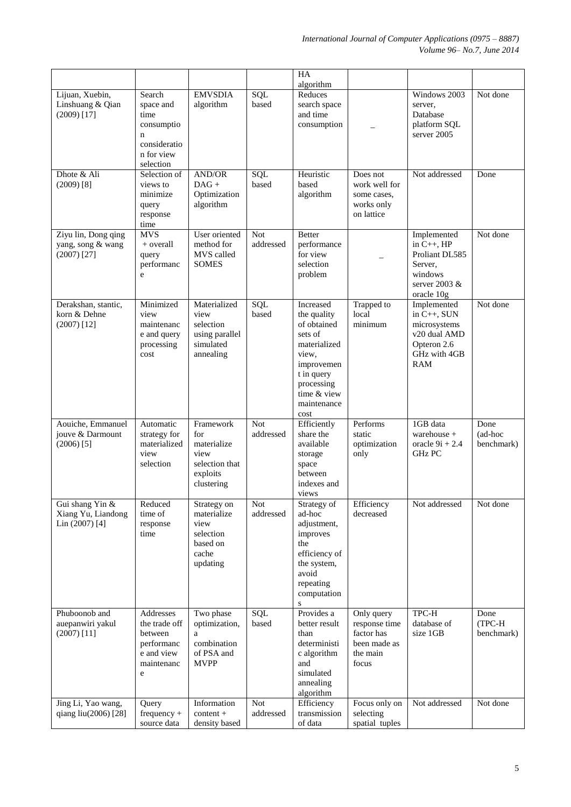|                                                                  |                                                                                                     |                                                                                     |                         | HA                                                                                                                                                          |                                                                                |                                                                                                         |                               |
|------------------------------------------------------------------|-----------------------------------------------------------------------------------------------------|-------------------------------------------------------------------------------------|-------------------------|-------------------------------------------------------------------------------------------------------------------------------------------------------------|--------------------------------------------------------------------------------|---------------------------------------------------------------------------------------------------------|-------------------------------|
| Lijuan, Xuebin,<br>Linshuang & Qian<br>$(2009)$ [17]             | Search<br>space and<br>time<br>consumptio<br>$\mathbf n$<br>consideratio<br>n for view<br>selection | <b>EMVSDIA</b><br>algorithm                                                         | SQL<br>based            | algorithm<br>Reduces<br>search space<br>and time<br>consumption                                                                                             |                                                                                | Windows 2003<br>server,<br>Database<br>platform SQL<br>server 2005                                      | Not done                      |
| Dhote & Ali<br>(2009) [8]                                        | Selection of<br>views to<br>minimize<br>query<br>response<br>time                                   | AND/OR<br>$DAG +$<br>Optimization<br>algorithm                                      | SQL<br>based            | Heuristic<br>based<br>algorithm                                                                                                                             | Does not<br>work well for<br>some cases,<br>works only<br>on lattice           | Not addressed                                                                                           | Done                          |
| Ziyu lin, Dong qing<br>yang, song & wang<br>$(2007)$ [27]        | <b>MVS</b><br>$+$ overall<br>query<br>performanc<br>e                                               | User oriented<br>method for<br>MVS called<br><b>SOMES</b>                           | <b>Not</b><br>addressed | <b>Better</b><br>performance<br>for view<br>selection<br>problem                                                                                            |                                                                                | Implemented<br>in $C++$ , $HP$<br>Proliant DL585<br>Server,<br>windows<br>server 2003 $&$<br>oracle 10g | Not done                      |
| Derakshan, stantic,<br>korn & Dehne<br>$(2007)$ [12]             | Minimized<br>view<br>maintenanc<br>e and query<br>processing<br>cost                                | Materialized<br>view<br>selection<br>using parallel<br>simulated<br>annealing       | SQL<br>based            | Increased<br>the quality<br>of obtained<br>sets of<br>materialized<br>view,<br>improvemen<br>t in query<br>processing<br>time & view<br>maintenance<br>cost | Trapped to<br>local<br>minimum                                                 | Implemented<br>in $C_{++}$ , SUN<br>microsystems<br>v20 dual AMD<br>Opteron 2.6<br>GHz with 4GB<br>RAM  | Not done                      |
| Aouiche, Emmanuel<br>jouve & Darmount<br>$(2006)$ <sup>[5]</sup> | Automatic<br>strategy for<br>materialized<br>view<br>selection                                      | Framework<br>for<br>materialize<br>view<br>selection that<br>exploits<br>clustering | <b>Not</b><br>addressed | Efficiently<br>share the<br>available<br>storage<br>space<br>between<br>indexes and<br>views                                                                | Performs<br>static<br>optimization<br>only                                     | 1GB data<br>warehouse $+$<br>oracle $9i + 2.4$<br><b>GHz PC</b>                                         | Done<br>(ad-hoc<br>benchmark) |
| Gui shang Yin &<br>Xiang Yu, Liandong<br>Lin $(2007)$ [4]        | Reduced<br>time of<br>response<br>time                                                              | Strategy on<br>materialize<br>view<br>selection<br>based on<br>cache<br>updating    | <b>Not</b><br>addressed | Strategy of<br>ad-hoc<br>adjustment,<br>improves<br>the<br>efficiency of<br>the system,<br>avoid<br>repeating<br>computation<br>${\bf S}$                   | Efficiency<br>decreased                                                        | Not addressed                                                                                           | Not done                      |
| Phuboonob and<br>auepanwiri yakul<br>$(2007)$ [11]               | Addresses<br>the trade off<br>between<br>performanc<br>e and view<br>maintenanc<br>e                | Two phase<br>optimization,<br>a<br>combination<br>of PSA and<br><b>MVPP</b>         | SQL<br>based            | Provides a<br>better result<br>than<br>deterministi<br>c algorithm<br>and<br>simulated<br>annealing<br>algorithm                                            | Only query<br>response time<br>factor has<br>been made as<br>the main<br>focus | TPC-H<br>database of<br>size 1GB                                                                        | Done<br>(TPC-H<br>benchmark)  |
| Jing Li, Yao wang,<br>qiang liu(2006) [28]                       | Query<br>$frequency +$<br>source data                                                               | Information<br>content +<br>density based                                           | Not<br>addressed        | Efficiency<br>transmission<br>of data                                                                                                                       | Focus only on<br>selecting<br>spatial tuples                                   | Not addressed                                                                                           | Not done                      |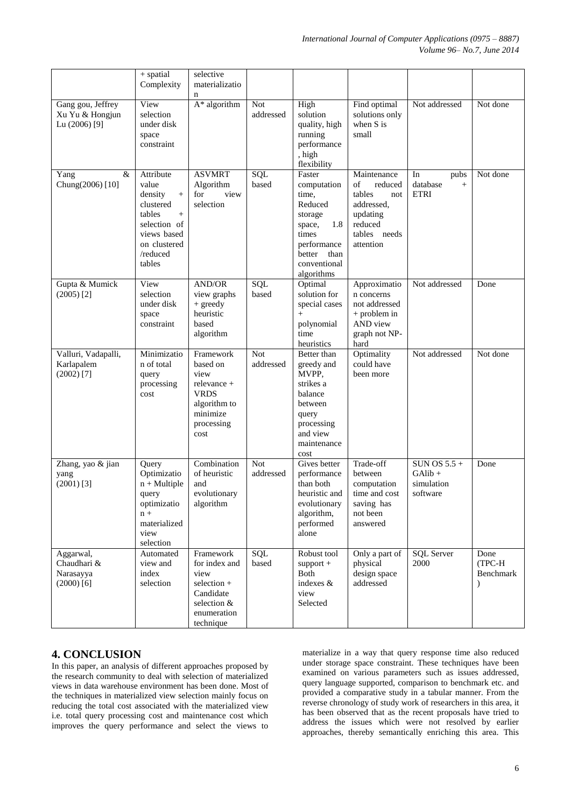|                                                              | $+$ spatial<br>Complexity                                                                                                                     | selective<br>materializatio<br>n                                                                              |                           |                                                                                                                                               |                                                                                                                 |                                                     |                             |
|--------------------------------------------------------------|-----------------------------------------------------------------------------------------------------------------------------------------------|---------------------------------------------------------------------------------------------------------------|---------------------------|-----------------------------------------------------------------------------------------------------------------------------------------------|-----------------------------------------------------------------------------------------------------------------|-----------------------------------------------------|-----------------------------|
| Gang gou, Jeffrey<br>Xu Yu & Hongjun<br>Lu (2006) [9]        | View<br>selection<br>under disk<br>space<br>constraint                                                                                        | $A^*$ algorithm                                                                                               | <b>Not</b><br>addressed   | High<br>solution<br>quality, high<br>running<br>performance<br>, high<br>flexibility                                                          | Find optimal<br>solutions only<br>when S is<br>small                                                            | Not addressed                                       | Not done                    |
| &<br>Yang<br>Chung(2006) [10]                                | Attribute<br>value<br>density<br>$^{+}$<br>clustered<br>tables<br>$^{+}$<br>selection of<br>views based<br>on clustered<br>/reduced<br>tables | <b>ASVMRT</b><br>Algorithm<br>for<br>view<br>selection                                                        | SQL<br>based              | Faster<br>computation<br>time,<br>Reduced<br>storage<br>1.8<br>space,<br>times<br>performance<br>better<br>than<br>conventional<br>algorithms | Maintenance<br>of<br>reduced<br>tables<br>not<br>addressed,<br>updating<br>reduced<br>tables needs<br>attention | In<br>pubs<br>database<br>$+$<br><b>ETRI</b>        | Not done                    |
| Gupta & Mumick<br>$(2005)$ [2]                               | View<br>selection<br>under disk<br>space<br>constraint                                                                                        | <b>AND/OR</b><br>view graphs<br>+ greedy<br>heuristic<br>based<br>algorithm                                   | SQL<br>based              | Optimal<br>solution for<br>special cases<br>$+$<br>polynomial<br>time<br>heuristics                                                           | Approximatio<br>n concerns<br>not addressed<br>$+$ problem in<br>AND view<br>graph not NP-<br>hard              | Not addressed                                       | Done                        |
| Valluri, Vadapalli,<br>Karlapalem<br>$(2002)$ <sup>[7]</sup> | Minimizatio<br>n of total<br>query<br>processing<br>cost                                                                                      | Framework<br>based on<br>view<br>relevance +<br><b>VRDS</b><br>algorithm to<br>minimize<br>processing<br>cost | <b>Not</b><br>addressed   | Better than<br>greedy and<br>MVPP,<br>strikes a<br>balance<br>between<br>query<br>processing<br>and view<br>maintenance<br>cost               | Optimality<br>could have<br>been more                                                                           | Not addressed                                       | Not done                    |
| Zhang, yao & jian<br>yang<br>$(2001)$ [3]                    | Query<br>Optimizatio<br>$n + Multiple$<br>query<br>optimizatio<br>$n +$<br>materialized<br>view<br>selection                                  | Combination<br>of heuristic<br>and<br>evolutionary<br>algorithm                                               | Not<br>addressed          | Gives better<br>performance<br>than both<br>heuristic and<br>evolutionary<br>algorithm,<br>performed<br>alone                                 | Trade-off<br>between<br>computation<br>time and cost<br>saving has<br>not been<br>answered                      | SUN OS $5.5 +$<br>GAlib +<br>simulation<br>software | Done                        |
| Aggarwal,<br>Chaudhari &<br>Narasayya<br>$(2000)$ [6]        | Automated<br>view and<br>index<br>selection                                                                                                   | Framework<br>for index and<br>view<br>selection +<br>Candidate<br>selection &<br>enumeration<br>technique     | $\overline{SQL}$<br>based | Robust tool<br>$support +$<br>Both<br>indexes $\&$<br>view<br>Selected                                                                        | Only a part of<br>physical<br>design space<br>addressed                                                         | <b>SQL Server</b><br>2000                           | Done<br>(TPC-H<br>Benchmark |

# **4. CONCLUSION**

In this paper, an analysis of different approaches proposed by the research community to deal with selection of materialized views in data warehouse environment has been done. Most of the techniques in materialized view selection mainly focus on reducing the total cost associated with the materialized view i.e. total query processing cost and maintenance cost which improves the query performance and select the views to

materialize in a way that query response time also reduced under storage space constraint. These techniques have been examined on various parameters such as issues addressed, query language supported, comparison to benchmark etc. and provided a comparative study in a tabular manner. From the reverse chronology of study work of researchers in this area, it has been observed that as the recent proposals have tried to address the issues which were not resolved by earlier approaches, thereby semantically enriching this area. This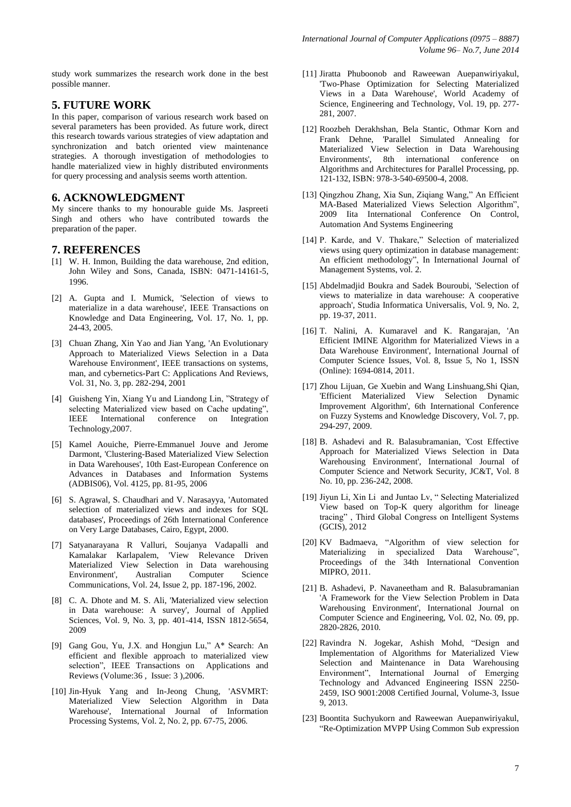study work summarizes the research work done in the best possible manner.

### **5. FUTURE WORK**

In this paper, comparison of various research work based on several parameters has been provided. As future work, direct this research towards various strategies of view adaptation and synchronization and batch oriented view maintenance strategies. A thorough investigation of methodologies to handle materialized view in highly distributed environments for query processing and analysis seems worth attention.

#### **6. ACKNOWLEDGMENT**

My sincere thanks to my honourable guide Ms. Jaspreeti Singh and others who have contributed towards the preparation of the paper.

#### **7. REFERENCES**

- [1] W. H. Inmon, Building the data warehouse, 2nd edition, John Wiley and Sons, Canada, ISBN: 0471-14161-5, 1996.
- [2] A. Gupta and I. Mumick, 'Selection of views to materialize in a data warehouse', IEEE Transactions on Knowledge and Data Engineering, Vol. 17, No. 1, pp. 24-43, 2005.
- [3] Chuan Zhang, Xin Yao and Jian Yang, 'An Evolutionary Approach to Materialized Views Selection in a Data Warehouse Environment', IEEE transactions on systems, man, and cybernetics-Part C: Applications And Reviews, Vol. 31, No. 3, pp. 282-294, 2001
- [4] Guisheng Yin, Xiang Yu and Liandong Lin, "Strategy of selecting Materialized view based on Cache updating", IEEE International conference on Integration Technology,2007.
- [5] Kamel Aouiche, Pierre-Emmanuel Jouve and Jerome Darmont, 'Clustering-Based Materialized View Selection in Data Warehouses', 10th East-European Conference on Advances in Databases and Information Systems (ADBIS06), Vol. 4125, pp. 81-95, 2006
- [6] S. Agrawal, S. Chaudhari and V. Narasayya, 'Automated selection of materialized views and indexes for SQL databases', Proceedings of 26th International Conference on Very Large Databases, Cairo, Egypt, 2000.
- [7] Satyanarayana R Valluri, Soujanya Vadapalli and Kamalakar Karlapalem, 'View Relevance Driven Materialized View Selection in Data warehousing Environment', Australian Computer Science Communications, Vol. 24, Issue 2, pp. 187-196, 2002.
- [8] C. A. Dhote and M. S. Ali, 'Materialized view selection in Data warehouse: A survey', Journal of Applied Sciences, Vol. 9, No. 3, pp. 401-414, ISSN 1812-5654, 2009
- [9] Gang Gou, Yu, J.X. and Hongjun Lu," A\* Search: An efficient and flexible approach to materialized view selection", IEEE Transactions on Applications and Reviews (Volume:36 , Issue: 3 ),2006.
- [10] Jin-Hyuk Yang and In-Jeong Chung, 'ASVMRT: Materialized View Selection Algorithm in Data Warehouse', International Journal of Information Processing Systems, Vol. 2, No. 2, pp. 67-75, 2006.
- [11] Jiratta Phuboonob and Raweewan Auepanwiriyakul, 'Two-Phase Optimization for Selecting Materialized Views in a Data Warehouse', World Academy of Science, Engineering and Technology, Vol. 19, pp. 277- 281, 2007.
- [12] Roozbeh Derakhshan, Bela Stantic, Othmar Korn and Frank Dehne, 'Parallel Simulated Annealing for Materialized View Selection in Data Warehousing Environments', 8th international conference on Algorithms and Architectures for Parallel Processing, pp. 121-132, ISBN: 978-3-540-69500-4, 2008.
- [13] Qingzhou Zhang, Xia Sun, Ziqiang Wang," An Efficient MA-Based Materialized Views Selection Algorithm", 2009 Iita International Conference On Control, Automation And Systems Engineering
- [14] P. Karde, and V. Thakare," Selection of materialized views using query optimization in database management: An efficient methodology", In International Journal of Management Systems, vol. 2.
- [15] Abdelmadjid Boukra and Sadek Bouroubi, 'Selection of views to materialize in data warehouse: A cooperative approach', Studia Informatica Universalis, Vol. 9, No. 2, pp. 19-37, 2011.
- [16] T. Nalini, A. Kumaravel and K. Rangarajan, 'An Efficient IMINE Algorithm for Materialized Views in a Data Warehouse Environment', International Journal of Computer Science Issues, Vol. 8, Issue 5, No 1, ISSN (Online): 1694-0814, 2011.
- [17] Zhou Lijuan, Ge Xuebin and Wang Linshuang,Shi Qian, 'Efficient Materialized View Selection Dynamic Improvement Algorithm', 6th International Conference on Fuzzy Systems and Knowledge Discovery, Vol. 7, pp. 294-297, 2009.
- [18] B. Ashadevi and R. Balasubramanian, 'Cost Effective Approach for Materialized Views Selection in Data Warehousing Environment', International Journal of Computer Science and Network Security, JC&T, Vol. 8 No. 10, pp. 236-242, 2008.
- [19] Jiyun Li, Xin Li and Juntao Lv, " Selecting Materialized View based on Top-K query algorithm for lineage tracing" , Third Global Congress on Intelligent Systems (GCIS), 2012
- [20] KV Badmaeva, "Algorithm of view selection for Materializing in specialized Data Warehouse", Proceedings of the 34th International Convention MIPRO, 2011.
- [21] B. Ashadevi, P. Navaneetham and R. Balasubramanian 'A Framework for the View Selection Problem in Data Warehousing Environment', International Journal on Computer Science and Engineering, Vol. 02, No. 09, pp. 2820-2826, 2010.
- [22] Ravindra N. Jogekar, Ashish Mohd, "Design and Implementation of Algorithms for Materialized View Selection and Maintenance in Data Warehousing Environment", International Journal of Emerging Technology and Advanced Engineering ISSN 2250- 2459, ISO 9001:2008 Certified Journal, Volume-3, Issue 9, 2013.
- [23] Boontita Suchyukorn and Raweewan Auepanwiriyakul, "Re-Optimization MVPP Using Common Sub expression